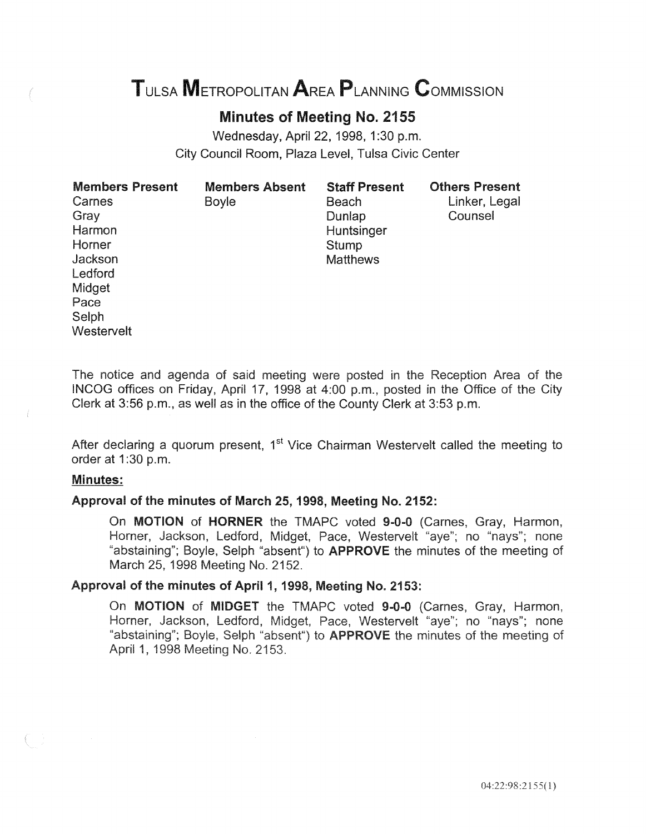# TULSA METROPOLITAN AREA PLANNING CoMMISSION

# Minutes of Meeting No. 2155

Wednesday, April 22, 1998, 1:30 p.m. City Council Room, Plaza Level, Tulsa Civic Center

| <b>Members Present</b> | <b>Members Absent</b> | <b>Staff Present</b> | <b>Others Present</b> |
|------------------------|-----------------------|----------------------|-----------------------|
| Carnes                 | Boyle                 | Beach                | Linker, Legal         |
| Gray                   |                       | Dunlap               | Counsel               |
| Harmon                 |                       | Huntsinger           |                       |
| Horner                 |                       | Stump                |                       |
| Jackson                |                       | <b>Matthews</b>      |                       |
| Ledford                |                       |                      |                       |
| Midget                 |                       |                      |                       |
| Pace                   |                       |                      |                       |
| Selph                  |                       |                      |                       |
| Westervelt             |                       |                      |                       |

The notice and agenda of said meeting were posted in the Reception Area of the INCOG offices on Friday, April 17, 1998 at 4:00 p.m., posted in the Office of the City Clerk at 3:56 p.m., as well as in the office of the County Clerk at 3:53 p.m.

After declaring a quorum present,  $1<sup>st</sup>$  Vice Chairman Westervelt called the meeting to order at 1:30 p.m.

#### Minutes:

#### Approval of the minutes of March 25, 1998, Meeting No. 2152:

On MOTION of HORNER the TMAPC voted 9-0-0 (Carnes, Gray, Harmon, Horner, Jackson, Ledford, Midget, Pace, Westervelt "aye"; no "nays"; none "abstaining"; Boyle, Selph "absent") to **APPROVE** the minutes of the meeting of March 25, 1998 Meeting No. 2152.

#### Approval of the minutes of April 1, 1998, Meeting No. 2153:

On MOTION of MIDGET the TMAPC voted 9-0-0 (Carnes, Gray, Harmon, Horner, Jackson, Ledford, Midget, Pace, Westervelt "aye"; no "nays"; none "abstaining"; Boyle, Selph "absent") to **APPROVE** the minutes of the meeting of April 1, 1998 Meeting No. 2153.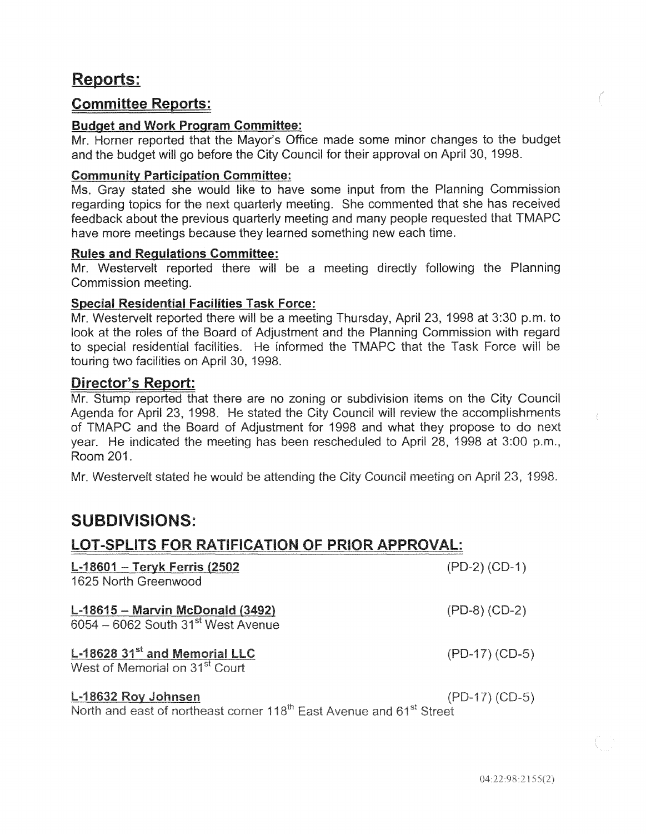# Reports:

# Committee Reports:

#### Budget and Work Program Committee:

Mr. Horner reported that the Mayor's Office made some minor changes to the budget and the budget will go before the City Council for their approval on April 30, 1998.

#### Community Participation Committee:

Ms. Gray stated she would like to have some input from the Planning Commission regarding topics for the next quarterly meeting. She commented that she has received feedback about the previous quarterly meeting and many people requested that TMAPC have more meetings because they learned something new each time.

#### Rules and Regulations Committee:

Mr. Westervelt reported there will be a meeting directly following the Planning Commission

#### Special Residential Facilities Task Force:

Mr. Westervelt reported there will be a meeting Thursday, April 23, 1998 at 3:30 p.m. to look at the roles of the Board of Adjustment and the Planning Commission with regard to special residential facilities. He informed the TMAPC that the Task Force will be touring two facilities on April 30, 1998.

### Director's Report:

Mr. Stump reported that there are no zoning or subdivision items on the City Council Agenda for April 23, 1998. He stated the City Council will review the accomplishments of TMAPC and the Board of Adiustment for 1998 and what they propose to do next year. He indicated the meeting has been rescheduled to April 28, 1998 at 3:00 p.m., Room 201.

Mr. Westervelt stated he would be attending the City Council meeting on April 23, 1998.

# SUBDIVISIONS:

## LOT-SPLITS FOR RATIFICATION OF PRIOR APPROVAL:

| L-18601 - Teryk Ferris (2502<br>1625 North Greenwood                                                                | $(PD-2) (CD-1)$  |
|---------------------------------------------------------------------------------------------------------------------|------------------|
| $L-18615 -$ Marvin McDonald (3492)<br>6054 - 6062 South 31 <sup>st</sup> West Avenue                                | $(PD-8) (CD-2)$  |
| L-18628 31 <sup>st</sup> and Memorial LLC<br>West of Memorial on 31 <sup>st</sup> Court                             | $(PD-17) (CD-5)$ |
| L-18632 Roy Johnsen<br>North and east of northeast corner 118 <sup>th</sup> East Avenue and 61 <sup>st</sup> Street | $(PD-17) (CD-5)$ |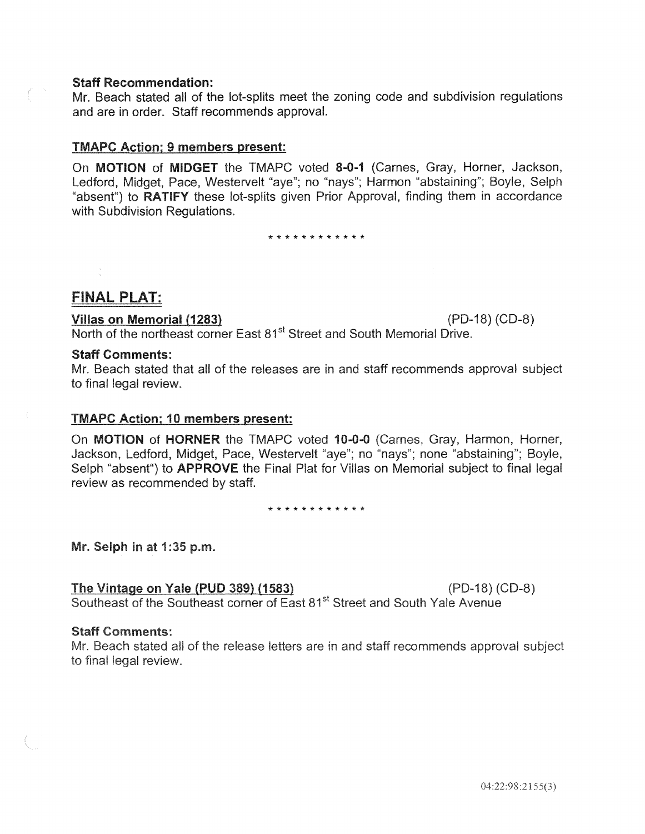#### Staff Recommendation:

Mr. Beach stated all of the lot-splits meet the zoning code and subdivision regulations and are in order. Staff recommends approval.

#### TMAPC Action; 9 members present:

On MOTION of MIDGET the TMAPC voted 8-0-1 (Carnes, Gray, Horner, Jackson, Ledford, Midget, Pace, Westervelt "aye"; no "nays"; Harmon "abstaining"; Boyle, Selph "absent") to **RATIFY** these lot-splits given Prior Approval, finding them in accordance with Subdivision Regulations.

\* \* \* \* \* \* \* \* \* \* \* \*

## **FINAL PLAT:**

#### Villas on Memorial (1283) (PD-18) (CD-8)

North of the northeast corner East 81<sup>st</sup> Street and South Memorial Drive.

#### Staff Comments:

Mr. Beach stated that all of the releases are in and staff recommends approval to final legal review.

#### TMAPC Action; 10 members present:

On MOTION of HORNER the TMAPC voted 10-0-0 (Carnes, Gray, Harmon, Horner, Jackson, Ledford, Midget, Pace, Westervelt "aye"; no "nays"; none "abstaining"; Boyle, Selph "absent") to **APPROVE** the Final Plat for Villas on Memorial subject to final legal review as recommended by staff.

\* \* \* \* \* \* \* \* \* \* \* \*

Mr. Selph in at 1:35 p.m.

The Vintage on Yale (PUD 389) (1583)  $(PD-18) (CD-8)$ Southeast of the Southeast corner of East 81<sup>st</sup> Street and South Yale Avenue

#### **Staff Comments:**

Mr. Beach stated all of the release letters are in and staff recommends approval subject to final legal review.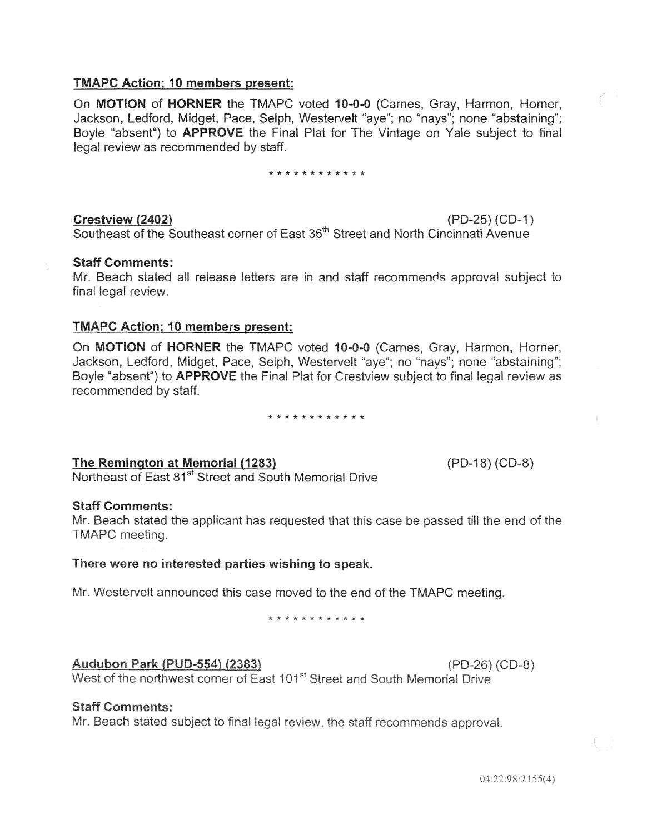#### **TMAPC Action: 10 members present:**

On **MOTION** of HORNER the TMAPC voted 10-0-0 (Carnes, Gray, Harmon, Horner, Jackson, Ledford, Midget, Pace, Selph, Westervelt "aye"; no "nays"; none "abstaining"; Boyle "absent") to **APPROVE** the Final Plat for The Vintage on Yale subject to final legal review as recommended by staff.

\* \* \* \* \* \* \* \* \* \* \* \*

Crestview (2402)  $(PD-25) (CD-1)$ Southeast of the Southeast corner of East 36<sup>th</sup> Street and North Cincinnati Avenue

#### **Staff Comments:**

Mr. Beach stated all release letters are in and staff recommends approval subject to final legal review.

#### TMAPC Action; 10 **members** present:

On MOTION of HORNER the TMAPC voted 10-0-0 (Carnes, Gray, Harmon, Horner, Jackson, Ledford, Midget, Pace, Selph, Westervelt "aye"; no "nays"; none "abstaining"; Boyle "absent") to **APPROVE** the Final Plat for Crestylew subject to final legal review as recommended by staff.

\* \* \* \* \* \* \* \* \* \* \* \*

The Remington at Memorial (1283)

(PD-18) (CD-8)

Northeast of East 81<sup>st</sup> Street and South Memorial Drive

#### Staff Comments:

Mr. Beach stated the applicant has requested that this case be passed till the end of the TMAPC meeting.

#### There were no interested parties wishing to speak.

Mr. Westervelt announced this case moved to the end of the TMAPC meeting.

\* \* \* \* \* \* \* \*

#### Audubon Park (PUD-554) (2383)

 $(PD-26) (CD-8)$ 

West of the northwest corner of East 101<sup>st</sup> Street and South Memorial Drive

#### **Staff Comments:**

Mr. Beach stated subject to final legal review, the staff recommends approval.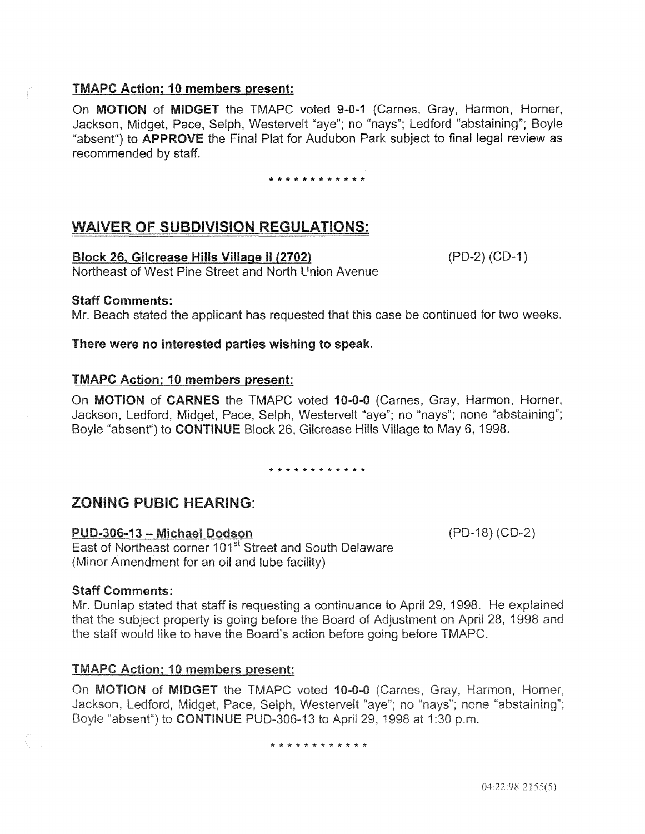#### TMAPC Action; 10 members present:

On MOTION of MIDGET the TMAPC voted 9-0-1 (Carnes, Gray, Harmon, Horner, Jackson, Midget, Pace, Selph, Westervelt "aye"; no "nays"; Ledford "abstaining"; Boyle "absent") to APPROVE the Final Plat for Audubon Park subject to final legal review as recommended by staff.

\* \* \* \* \* \* \* \* \* \* \* \*

# WAIVER OF SUBDIVISION REGULATIONS:

#### Block 26, Gilcrease Hills Village II (2702) (PD-2) (CD-1)

(PD-18) (CD-2)

Northeast of West Pine Street and North L<sup>1</sup> nion Avenue

#### Staff Comments:

Mr. Beach stated the applicant has requested that this case be continued for two weeks.

There were no interested parties wishing to speak.

#### TMAPC Action; 10 members present:

On MOTION of CARNES the TMAPC voted 10-0-0 (Carnes, Gray, Harmon, Horner, Jackson, Ledford, Midget, Pace, Selph, Westervelt "aye"; no "nays"; none "abstaining"; Boyle "absent") to CONTINUE Block 26, Gilcrease Hills Village to May 6, 1998.

\* \* \* \* \* \* \* \* \* \* \* \*

# ZONING PUBIC HEARING:

#### PUD-306-13 - Michael Dodson

East of Northeast corner 101<sup>st</sup> Street and South Delaware (Minor Amendment for an oil and lube facility)

#### Staff Comments:

Mr. Dunlap stated that staff is requesting a continuance to April 29, 1998. He explained that the subject property is going before the Board of Adjustment on April 28, 1998 and the staff would like to have the Board's action before going before TMAPC.

#### **TMAPC Action; 10 members present:**

On MOTION of MIDGET the TMAPC voted 10-0-0 (Carnes, Gray, Harmon, Horner, Jackson, Ledford, Midget, Pace, Selph, Westervelt "aye"; no "nays"; none "abstaining"; Boyle "absent") to **CONTINUE** PUD-306-13 to April 29, 1998 at 1:30 p.m.

#### \* \* \* \* \* \* \* \* \* \* \* \*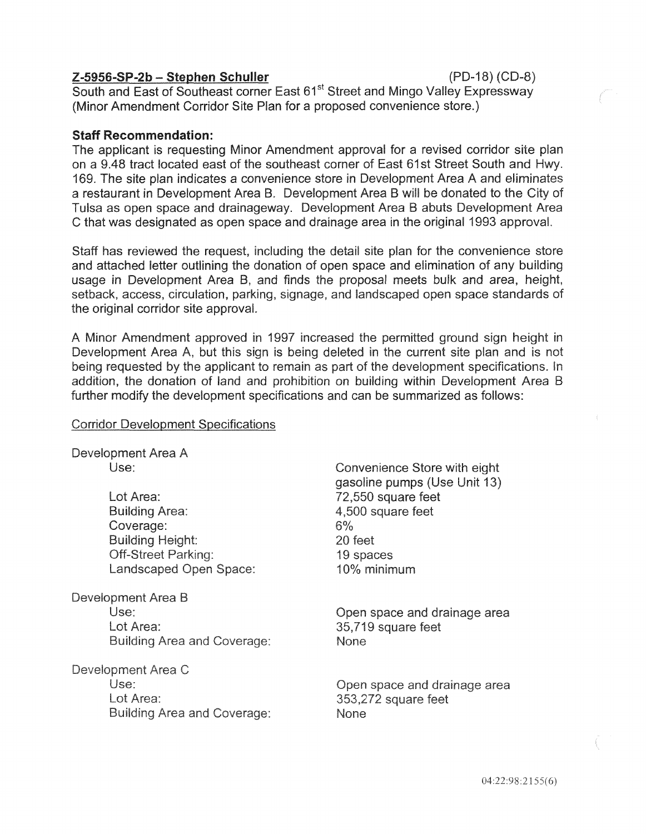#### $Z-5956-SP-2b-Stephen Schuller$  (PD-18) (CD-8)

South and East of Southeast corner East 61<sup>st</sup> Street and Mingo Valley Expressway (Minor Amendment Corridor Site Plan for a proposed convenience store.)

#### Staff Recommendation:

The applicant is requesting Minor Amendment approval for a revised corridor site plan on a 9.48 tract located east of the southeast corner of East 61st Street South and Hwy. 169. The site plan indicates a convenience store in Development Area A and a restaurant in Development Area B. Development Area B will be donated to the City of Tulsa as open space and drainageway. Development Area B abuts Development Area C that was designated as open space and drainage area in the original 1993 approval.

Staff has reviewed the request, including the detail site plan for the convenience store and attached letter outlining the donation of open space and elimination of any building usage in Development Area B, and finds the proposal meets bulk and area, height, setback, access, circulation, parking, signage, and landscaped open space standards of the original corridor site approval.

A Minor Amendment approved in 1997 increased the permitted ground sign height in Development Area A, but this sign is being deleted in the current site plan and is not being requested by the applicant to remain as part of the development specifications. In addition, the donation of land and prohibition on building within Development Area B further modify the development specifications and can be summarized as follows:

#### **Corridor Development Specifications**

| Development Area A |  |
|--------------------|--|
| Use:               |  |

Lot Area: **Building Area:** Coverage: **Building Height: Off-Street Parking:** Landscaped Open Space:

Development Area B Use<sup>.</sup> Lot Area: **Building Area and Coverage:** 

Development Area C Use: Lot Area: **Building Area and Coverage:** 

Convenience Store with eight gasoline pumps (Use Unit 13) 72,550 square feet 4,500 square feet  $6%$ 20 feet 19 spaces 10% minimum

Open space and drainage area 35,719 square feet **None** 

Open space and drainage area 353,272 square feet **None**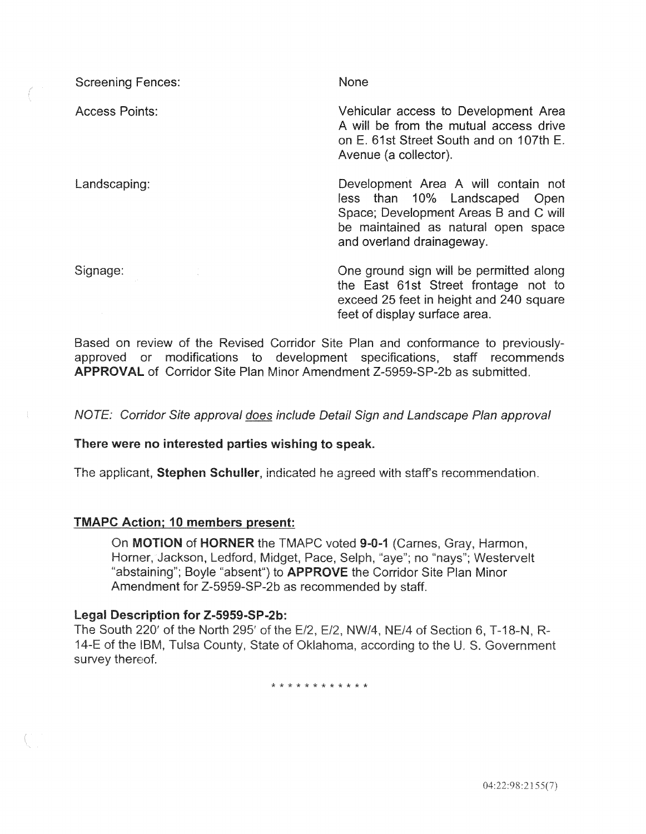| <b>Screening Fences:</b> | None                                                                                                                                                                              |
|--------------------------|-----------------------------------------------------------------------------------------------------------------------------------------------------------------------------------|
| <b>Access Points:</b>    | Vehicular access to Development Area<br>A will be from the mutual access drive<br>on E. 61st Street South and on 107th E.<br>Avenue (a collector).                                |
| Landscaping:             | Development Area A will contain not<br>less than 10% Landscaped Open<br>Space; Development Areas B and C will<br>be maintained as natural open space<br>and overland drainageway. |
| Signage:                 | One ground sign will be permitted along<br>the East 61st Street frontage not to<br>exceed 25 feet in height and 240 square<br>feet of display surface area.                       |

Based on review of the Revised Corridor Site Plan and conformance to previouslyapproved or modifications to development specifications, staff recommends APPROVAL of Corridor Site Plan Minor Amendment Z-5959-SP-2b as submitted.

approval does include Detail Sign and Landscape Plan approval

#### There were no interested parties wishing to speak.

Stephen Schuller, indicated he agreed with staff's recommendation.

#### **TMAPC Action; 10 members present:**

On **MOTION** of **HORNER** the TMAPC voted 9-0-1 (Carnes, Gray, Harmon, Horner, Jackson, Ledford, Midget, Pace, Selph, "aye"; no "nays"; Westervelt "abstaining"; Boyle "absent") to APPROVE the Corridor Site Plan Minor Amendment for Z-5959-SP-2b as recommended by staff.

Legal Description for Z-5959-SP-2b:<br>The South 220' of the North 295' of the E/2, E/2, NW/4, NE/4 of Section 6, T-18-N, R-14-E of the IBM, Tulsa County, State of Oklahoma, according to the U. S. Government survey thereof.

\* \* \* \* \* \* \* \* \* \*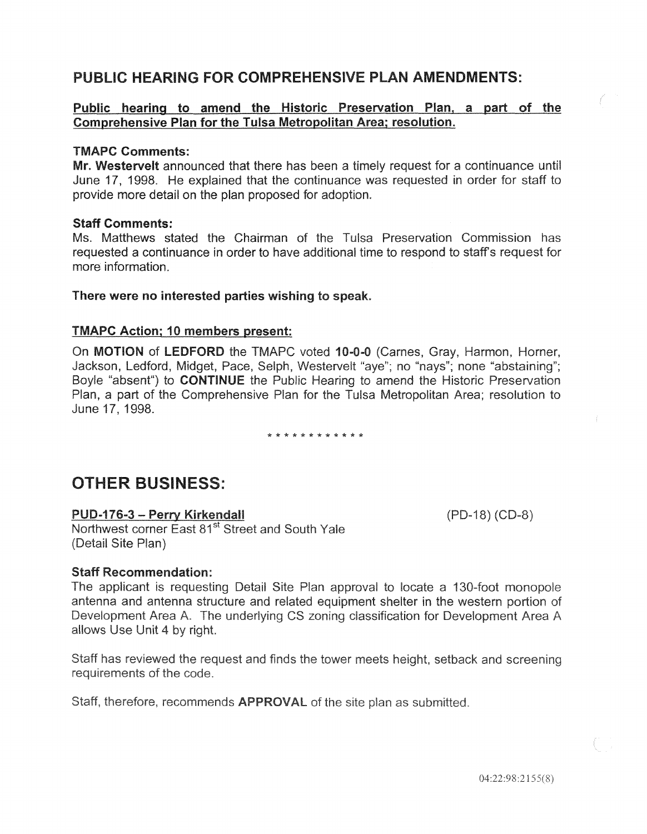# PUBLIC HEARING FOR COMPREHENSIVE PLAN AMENDMENTS:

#### Public hearing to amend the Historic Preservation Plan, a part of the Comprehensive Plan for the Tulsa Metropolitan Area; resolution.

#### TMAPC Comments:

Mr. Westervelt announced that there has been a timely request for a continuance until June 17, 1998. He explained that the continuance was requested in order for staff to provide more detail on the plan proposed for

#### Staff Comments:

Ms. Matthews stated the Chairman of the Tulsa Preservation requested a continuance in order to have additional time to respond to more information.

#### There were no interested parties wishing to speak.

#### TMAPC Action; 10 members present:

On MOTION of LEDFORD the TMAPC voted 10-0-0 (Carnes, Gray, Harmon, Horner, Jackson, Ledford, Midget, Pace, Selph, Westervelt "aye"; no "nays"; none "abstaining"; Boyle "absent") to **CONTINUE** the Public Hearing to amend the Historic Preservation Plan, a part of the Comprehensive Plan for the Tulsa Metropolitan Area; resolution to June 17, 1998.

\* \* \* \* \* \* \* \* \* \* \* \*

# OTHER BUSINESS:

PUD-176-3 - Perry Kirkendall Northwest corner East 81<sup>st</sup> Street and South Yale (Detail Site Plan)

#### **Staff Recommendation:**

The applicant is requesting Detail Site Plan approval to locate a 130-foot monopole antenna and antenna structure and related equipment shelter in the western portion of Development Area A. The underlying CS zoning classification for Development Area A allows Use Unit 4 by right.

Staff has reviewed the request and finds the tower meets height, setback and screening requirements of the code.

Staff, therefore, recommends **APPROVAL** of the site plan as submitted.

 $(PD-18) (CD-8)$